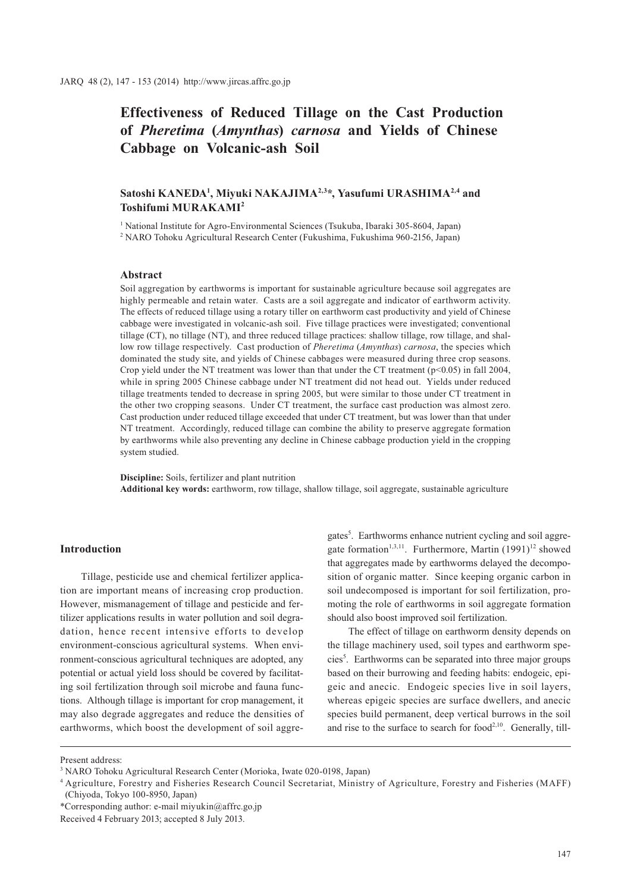**Effectiveness of Reduced Tillage on the Cast Production of** *Pheretima* **(***Amynthas***)** *carnosa* **and Yields of Chinese Cabbage on Volcanic-ash Soil**

# Satoshi KANEDA<sup>1</sup>, Miyuki NAKAJIMA<sup>2,3</sup>\*, Yasufumi URASHIMA<sup>2,4</sup> and **Toshifumi MURAKAMI2**

<sup>1</sup> National Institute for Agro-Environmental Sciences (Tsukuba, Ibaraki 305-8604, Japan)

2 NARO Tohoku Agricultural Research Center (Fukushima, Fukushima 960-2156, Japan)

## **Abstract**

Soil aggregation by earthworms is important for sustainable agriculture because soil aggregates are highly permeable and retain water. Casts are a soil aggregate and indicator of earthworm activity. The effects of reduced tillage using a rotary tiller on earthworm cast productivity and yield of Chinese cabbage were investigated in volcanic-ash soil. Five tillage practices were investigated; conventional tillage (CT), no tillage (NT), and three reduced tillage practices: shallow tillage, row tillage, and shallow row tillage respectively. Cast production of *Pheretima* (*Amynthas*) *carnosa*, the species which dominated the study site, and yields of Chinese cabbages were measured during three crop seasons. Crop yield under the NT treatment was lower than that under the CT treatment (p<0.05) in fall 2004, while in spring 2005 Chinese cabbage under NT treatment did not head out. Yields under reduced tillage treatments tended to decrease in spring 2005, but were similar to those under CT treatment in the other two cropping seasons. Under CT treatment, the surface cast production was almost zero. Cast production under reduced tillage exceeded that under CT treatment, but was lower than that under NT treatment. Accordingly, reduced tillage can combine the ability to preserve aggregate formation by earthworms while also preventing any decline in Chinese cabbage production yield in the cropping system studied.

**Discipline:** Soils, fertilizer and plant nutrition **Additional key words:** earthworm, row tillage, shallow tillage, soil aggregate, sustainable agriculture

# **Introduction**

Tillage, pesticide use and chemical fertilizer application are important means of increasing crop production. However, mismanagement of tillage and pesticide and fertilizer applications results in water pollution and soil degradation, hence recent intensive efforts to develop environment-conscious agricultural systems. When environment-conscious agricultural techniques are adopted, any potential or actual yield loss should be covered by facilitating soil fertilization through soil microbe and fauna functions. Although tillage is important for crop management, it may also degrade aggregates and reduce the densities of earthworms, which boost the development of soil aggregates<sup>5</sup>. Earthworms enhance nutrient cycling and soil aggregate formation<sup>1,3,11</sup>. Furthermore, Martin  $(1991)^{12}$  showed that aggregates made by earthworms delayed the decomposition of organic matter. Since keeping organic carbon in soil undecomposed is important for soil fertilization, promoting the role of earthworms in soil aggregate formation should also boost improved soil fertilization.

The effect of tillage on earthworm density depends on the tillage machinery used, soil types and earthworm species<sup>5</sup>. Earthworms can be separated into three major groups based on their burrowing and feeding habits: endogeic, epigeic and anecic. Endogeic species live in soil layers, whereas epigeic species are surface dwellers, and anecic species build permanent, deep vertical burrows in the soil and rise to the surface to search for food $2,10$ . Generally, till-

Present address:

<sup>3</sup> NARO Tohoku Agricultural Research Center (Morioka, Iwate 020-0198, Japan)

<sup>4</sup> Agriculture, Forestry and Fisheries Research Council Secretariat, Ministry of Agriculture, Forestry and Fisheries (MAFF) (Chiyoda, Tokyo 100-8950, Japan)

<sup>\*</sup>Corresponding author: e-mail miyukin@affrc.go.jp

Received 4 February 2013; accepted 8 July 2013.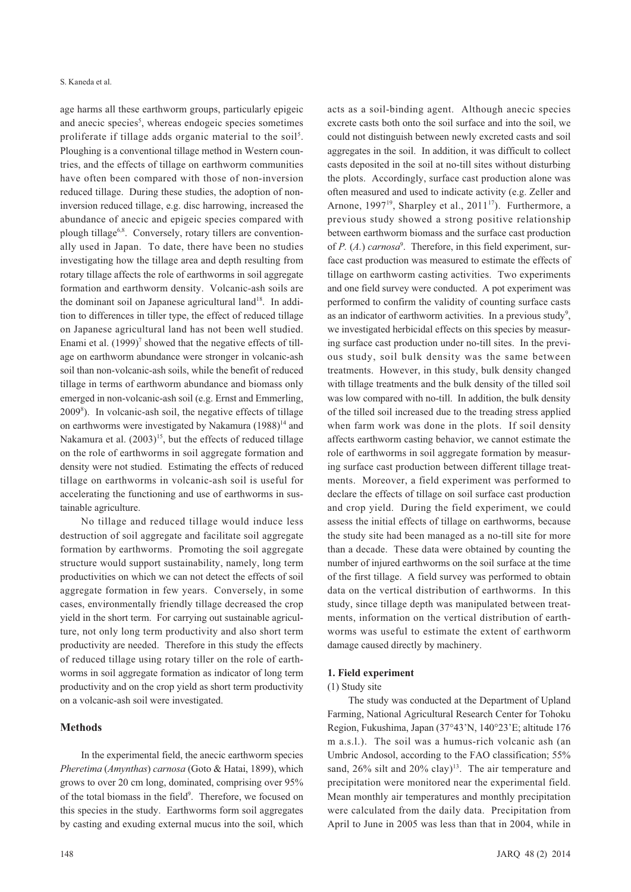age harms all these earthworm groups, particularly epigeic and anecic species<sup>5</sup>, whereas endogeic species sometimes proliferate if tillage adds organic material to the soil<sup>5</sup>. Ploughing is a conventional tillage method in Western countries, and the effects of tillage on earthworm communities have often been compared with those of non-inversion reduced tillage. During these studies, the adoption of noninversion reduced tillage, e.g. disc harrowing, increased the abundance of anecic and epigeic species compared with plough tillage<sup>6,8</sup>. Conversely, rotary tillers are conventionally used in Japan. To date, there have been no studies investigating how the tillage area and depth resulting from rotary tillage affects the role of earthworms in soil aggregate formation and earthworm density. Volcanic-ash soils are the dominant soil on Japanese agricultural land<sup>18</sup>. In addition to differences in tiller type, the effect of reduced tillage on Japanese agricultural land has not been well studied. Enami et al.  $(1999)^7$  showed that the negative effects of tillage on earthworm abundance were stronger in volcanic-ash soil than non-volcanic-ash soils, while the benefit of reduced tillage in terms of earthworm abundance and biomass only emerged in non-volcanic-ash soil (e.g. Ernst and Emmerling, 20098 ). In volcanic-ash soil, the negative effects of tillage on earthworms were investigated by Nakamura  $(1988)^{14}$  and Nakamura et al.  $(2003)^{15}$ , but the effects of reduced tillage on the role of earthworms in soil aggregate formation and density were not studied. Estimating the effects of reduced tillage on earthworms in volcanic-ash soil is useful for accelerating the functioning and use of earthworms in sustainable agriculture.

No tillage and reduced tillage would induce less destruction of soil aggregate and facilitate soil aggregate formation by earthworms. Promoting the soil aggregate structure would support sustainability, namely, long term productivities on which we can not detect the effects of soil aggregate formation in few years. Conversely, in some cases, environmentally friendly tillage decreased the crop yield in the short term. For carrying out sustainable agriculture, not only long term productivity and also short term productivity are needed. Therefore in this study the effects of reduced tillage using rotary tiller on the role of earthworms in soil aggregate formation as indicator of long term productivity and on the crop yield as short term productivity on a volcanic-ash soil were investigated.

### **Methods**

In the experimental field, the anecic earthworm species *Pheretima* (*Amynthas*) *carnosa* (Goto & Hatai, 1899), which grows to over 20 cm long, dominated, comprising over 95% of the total biomass in the field<sup>9</sup>. Therefore, we focused on this species in the study. Earthworms form soil aggregates by casting and exuding external mucus into the soil, which

acts as a soil-binding agent. Although anecic species excrete casts both onto the soil surface and into the soil, we could not distinguish between newly excreted casts and soil aggregates in the soil. In addition, it was difficult to collect casts deposited in the soil at no-till sites without disturbing the plots. Accordingly, surface cast production alone was often measured and used to indicate activity (e.g. Zeller and Arnone,  $1997^{19}$ , Sharpley et al.,  $2011^{17}$ ). Furthermore, a previous study showed a strong positive relationship between earthworm biomass and the surface cast production of *P.* (*A.*) *carnosa*<sup>9</sup>. Therefore, in this field experiment, surface cast production was measured to estimate the effects of tillage on earthworm casting activities. Two experiments and one field survey were conducted. A pot experiment was performed to confirm the validity of counting surface casts as an indicator of earthworm activities. In a previous study<sup>9</sup>, we investigated herbicidal effects on this species by measuring surface cast production under no-till sites. In the previous study, soil bulk density was the same between treatments. However, in this study, bulk density changed with tillage treatments and the bulk density of the tilled soil was low compared with no-till. In addition, the bulk density of the tilled soil increased due to the treading stress applied when farm work was done in the plots. If soil density affects earthworm casting behavior, we cannot estimate the role of earthworms in soil aggregate formation by measuring surface cast production between different tillage treatments. Moreover, a field experiment was performed to declare the effects of tillage on soil surface cast production and crop yield. During the field experiment, we could assess the initial effects of tillage on earthworms, because the study site had been managed as a no-till site for more than a decade. These data were obtained by counting the number of injured earthworms on the soil surface at the time of the first tillage. A field survey was performed to obtain data on the vertical distribution of earthworms. In this study, since tillage depth was manipulated between treatments, information on the vertical distribution of earthworms was useful to estimate the extent of earthworm damage caused directly by machinery.

#### **1. Field experiment**

#### (1) Study site

The study was conducted at the Department of Upland Farming, National Agricultural Research Center for Tohoku Region, Fukushima, Japan (37°43'N, 140°23'E; altitude 176 m a.s.l.). The soil was a humus-rich volcanic ash (an Umbric Andosol, according to the FAO classification; 55% sand,  $26\%$  silt and  $20\%$  clay)<sup>13</sup>. The air temperature and precipitation were monitored near the experimental field. Mean monthly air temperatures and monthly precipitation were calculated from the daily data. Precipitation from April to June in 2005 was less than that in 2004, while in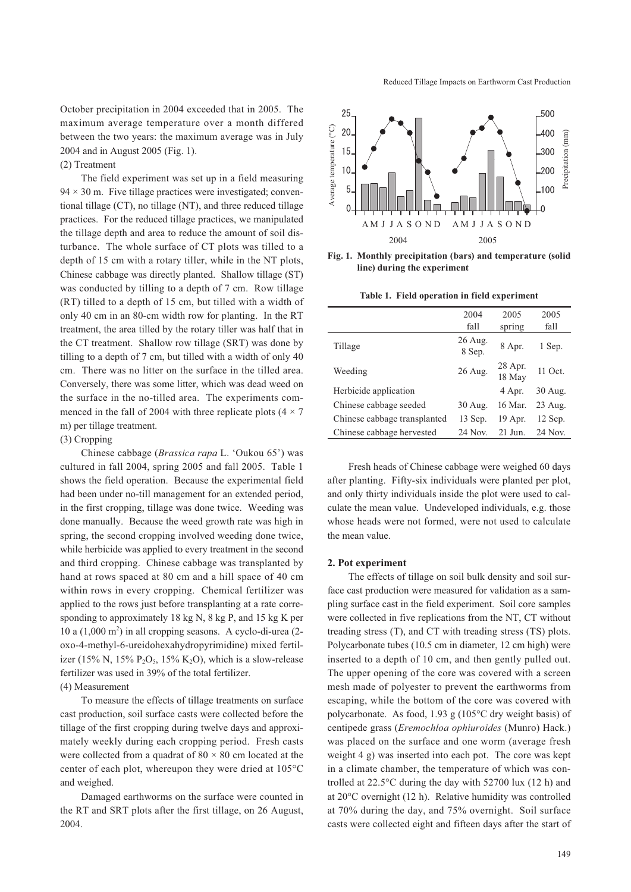October precipitation in 2004 exceeded that in 2005. The maximum average temperature over a month differed between the two years: the maximum average was in July 2004 and in August 2005 (Fig. 1).

# (2) Treatment

The field experiment was set up in a field measuring  $94 \times 30$  m. Five tillage practices were investigated; conventional tillage (CT), no tillage (NT), and three reduced tillage practices. For the reduced tillage practices, we manipulated the tillage depth and area to reduce the amount of soil disturbance. The whole surface of CT plots was tilled to a depth of 15 cm with a rotary tiller, while in the NT plots, Chinese cabbage was directly planted. Shallow tillage (ST) was conducted by tilling to a depth of 7 cm. Row tillage (RT) tilled to a depth of 15 cm, but tilled with a width of only 40 cm in an 80-cm width row for planting. In the RT treatment, the area tilled by the rotary tiller was half that in the CT treatment. Shallow row tillage (SRT) was done by tilling to a depth of 7 cm, but tilled with a width of only 40 cm. There was no litter on the surface in the tilled area. Conversely, there was some litter, which was dead weed on the surface in the no-tilled area. The experiments commenced in the fall of 2004 with three replicate plots  $(4 \times 7)$ m) per tillage treatment.

#### (3) Cropping

Chinese cabbage (*Brassica rapa* L. 'Oukou 65') was cultured in fall 2004, spring 2005 and fall 2005. Table 1 shows the field operation. Because the experimental field had been under no-till management for an extended period, in the first cropping, tillage was done twice. Weeding was done manually. Because the weed growth rate was high in spring, the second cropping involved weeding done twice, while herbicide was applied to every treatment in the second and third cropping. Chinese cabbage was transplanted by hand at rows spaced at 80 cm and a hill space of 40 cm within rows in every cropping. Chemical fertilizer was applied to the rows just before transplanting at a rate corresponding to approximately 18 kg N, 8 kg P, and 15 kg K per 10 a  $(1,000 \text{ m}^2)$  in all cropping seasons. A cyclo-di-urea  $(2$ oxo-4-methyl-6-ureidohexahydropyrimidine) mixed fertilizer (15% N, 15%  $P_2O_5$ , 15% K<sub>2</sub>O), which is a slow-release fertilizer was used in 39% of the total fertilizer.

# (4) Measurement

To measure the effects of tillage treatments on surface cast production, soil surface casts were collected before the tillage of the first cropping during twelve days and approximately weekly during each cropping period. Fresh casts were collected from a quadrat of  $80 \times 80$  cm located at the center of each plot, whereupon they were dried at 105°C and weighed.

Damaged earthworms on the surface were counted in the RT and SRT plots after the first tillage, on 26 August, 2004.

Reduced Tillage Impacts on Earthworm Cast Production



**Fig. 1. Monthly precipitation (bars) and temperature (solid line) during the experiment**

**Table 1. Field operation in field experiment**

|                              | 2004              | 2005              | 2005    |
|------------------------------|-------------------|-------------------|---------|
|                              | fall              | spring            | fall    |
| Tillage                      | 26 Aug.<br>8 Sep. | 8 Apr.            | 1 Sep.  |
| Weeding                      | $26$ Aug.         | 28 Apr.<br>18 May | 11 Oct. |
| Herbicide application        |                   | 4 Apr.            | 30 Aug. |
| Chinese cabbage seeded       | 30 Aug.           | 16 Mar.           | 23 Aug. |
| Chinese cabbage transplanted | 13 Sep.           | 19 Apr.           | 12 Sep. |
| Chinese cabbage hervested    | 24 Nov.           | $21$ Jun.         | 24 Nov. |

Fresh heads of Chinese cabbage were weighed 60 days after planting. Fifty-six individuals were planted per plot, and only thirty individuals inside the plot were used to calculate the mean value. Undeveloped individuals, e.g. those whose heads were not formed, were not used to calculate the mean value.

### **2. Pot experiment**

The effects of tillage on soil bulk density and soil surface cast production were measured for validation as a sampling surface cast in the field experiment. Soil core samples were collected in five replications from the NT, CT without treading stress (T), and CT with treading stress (TS) plots. Polycarbonate tubes (10.5 cm in diameter, 12 cm high) were inserted to a depth of 10 cm, and then gently pulled out. The upper opening of the core was covered with a screen mesh made of polyester to prevent the earthworms from escaping, while the bottom of the core was covered with polycarbonate. As food, 1.93 g (105°C dry weight basis) of centipede grass (*Eremochloa ophiuroides* (Munro) Hack.) was placed on the surface and one worm (average fresh weight 4 g) was inserted into each pot. The core was kept in a climate chamber, the temperature of which was controlled at 22.5°C during the day with 52700 lux (12 h) and at 20°C overnight (12 h). Relative humidity was controlled at 70% during the day, and 75% overnight. Soil surface casts were collected eight and fifteen days after the start of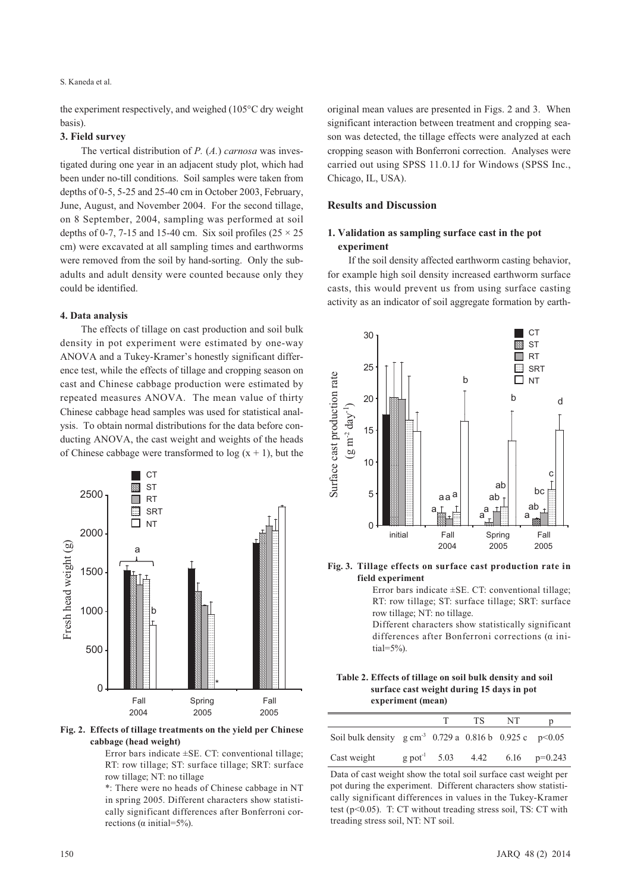the experiment respectively, and weighed (105°C dry weight basis).

## **3. Field survey**

The vertical distribution of *P.* (*A.*) *carnosa* was investigated during one year in an adjacent study plot, which had been under no-till conditions. Soil samples were taken from depths of 0-5, 5-25 and 25-40 cm in October 2003, February, June, August, and November 2004. For the second tillage, on 8 September, 2004, sampling was performed at soil depths of 0-7, 7-15 and 15-40 cm. Six soil profiles ( $25 \times 25$ ) cm) were excavated at all sampling times and earthworms were removed from the soil by hand-sorting. Only the subadults and adult density were counted because only they could be identified.

### **4. Data analysis**

The effects of tillage on cast production and soil bulk density in pot experiment were estimated by one-way ANOVA and a Tukey-Kramer's honestly significant difference test, while the effects of tillage and cropping season on cast and Chinese cabbage production were estimated by repeated measures ANOVA. The mean value of thirty Chinese cabbage head samples was used for statistical analysis. To obtain normal distributions for the data before conducting ANOVA, the cast weight and weights of the heads of Chinese cabbage were transformed to  $log(x + 1)$ , but the



**Fig. 2. Effects of tillage treatments on the yield per Chinese cabbage (head weight)**

Error bars indicate  $\pm$ SE. CT: conventional tillage; RT: row tillage; ST: surface tillage; SRT: surface row tillage; NT: no tillage

\*: There were no heads of Chinese cabbage in NT in spring 2005. Different characters show statistically significant differences after Bonferroni corrections (α initial=5%).

original mean values are presented in Figs. 2 and 3. When significant interaction between treatment and cropping season was detected, the tillage effects were analyzed at each cropping season with Bonferroni correction. Analyses were carried out using SPSS 11.0.1J for Windows (SPSS Inc., Chicago, IL, USA).

# **Results and Discussion**

# **1. Validation as sampling surface cast in the pot experiment**

If the soil density affected earthworm casting behavior, for example high soil density increased earthworm surface casts, this would prevent us from using surface casting activity as an indicator of soil aggregate formation by earth-



**Fig. 3. Tillage effects on surface cast production rate in field experiment**

Error bars indicate ±SE. CT: conventional tillage; RT: row tillage; ST: surface tillage; SRT: surface row tillage; NT: no tillage.

Different characters show statistically significant differences after Bonferroni corrections (α ini- $\text{tail}=5\%$ ).

**Table 2. Effects of tillage on soil bulk density and soil surface cast weight during 15 days in pot experiment (mean)**

|                                                                      | T. | TS. | - NT | D                                            |
|----------------------------------------------------------------------|----|-----|------|----------------------------------------------|
| Soil bulk density $g \text{ cm}^{-3}$ 0.729 a 0.816 b 0.925 c p<0.05 |    |     |      |                                              |
| Cast weight                                                          |    |     |      | $g$ pot <sup>-1</sup> 5.03 4.42 6.16 p=0.243 |

Data of cast weight show the total soil surface cast weight per pot during the experiment. Different characters show statistically significant differences in values in the Tukey-Kramer test ( $p<0.05$ ). T: CT without treading stress soil, TS: CT with treading stress soil, NT: NT soil.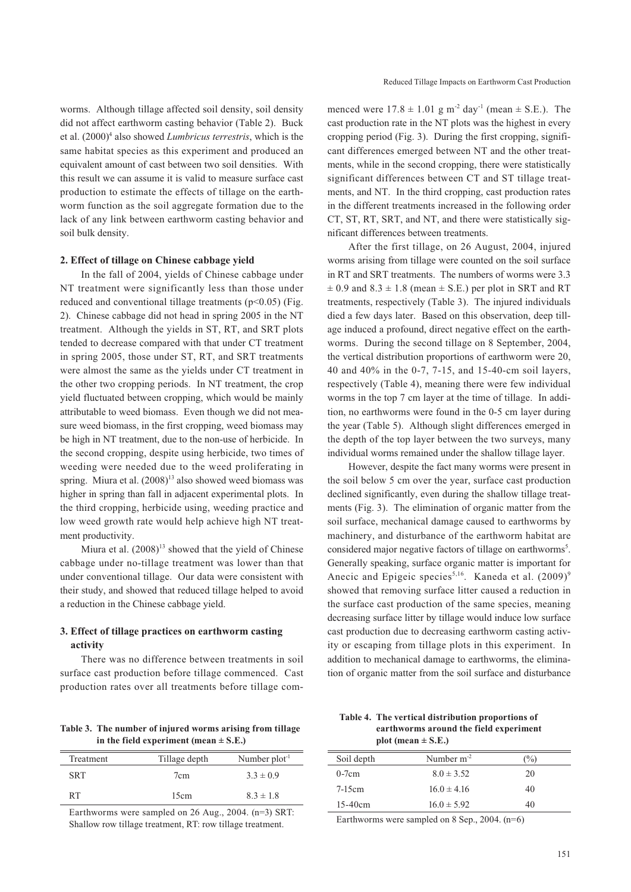worms. Although tillage affected soil density, soil density did not affect earthworm casting behavior (Table 2). Buck et al.  $(2000)^4$  also showed *Lumbricus terrestris*, which is the same habitat species as this experiment and produced an equivalent amount of cast between two soil densities. With this result we can assume it is valid to measure surface cast production to estimate the effects of tillage on the earthworm function as the soil aggregate formation due to the lack of any link between earthworm casting behavior and soil bulk density.

#### **2. Effect of tillage on Chinese cabbage yield**

In the fall of 2004, yields of Chinese cabbage under NT treatment were significantly less than those under reduced and conventional tillage treatments ( $p$ <0.05) (Fig. 2). Chinese cabbage did not head in spring 2005 in the NT treatment. Although the yields in ST, RT, and SRT plots tended to decrease compared with that under CT treatment in spring 2005, those under ST, RT, and SRT treatments were almost the same as the yields under CT treatment in the other two cropping periods. In NT treatment, the crop yield fluctuated between cropping, which would be mainly attributable to weed biomass. Even though we did not measure weed biomass, in the first cropping, weed biomass may be high in NT treatment, due to the non-use of herbicide. In the second cropping, despite using herbicide, two times of weeding were needed due to the weed proliferating in spring. Miura et al.  $(2008)^{13}$  also showed weed biomass was higher in spring than fall in adjacent experimental plots. In the third cropping, herbicide using, weeding practice and low weed growth rate would help achieve high NT treatment productivity.

Miura et al.  $(2008)^{13}$  showed that the yield of Chinese cabbage under no-tillage treatment was lower than that under conventional tillage. Our data were consistent with their study, and showed that reduced tillage helped to avoid a reduction in the Chinese cabbage yield.

# **3. Effect of tillage practices on earthworm casting activity**

There was no difference between treatments in soil surface cast production before tillage commenced. Cast production rates over all treatments before tillage com-

nificant differences between treatments.

After the first tillage, on 26 August, 2004, injured worms arising from tillage were counted on the soil surface in RT and SRT treatments. The numbers of worms were 3.3  $\pm$  0.9 and 8.3  $\pm$  1.8 (mean  $\pm$  S.E.) per plot in SRT and RT treatments, respectively (Table 3). The injured individuals died a few days later. Based on this observation, deep tillage induced a profound, direct negative effect on the earthworms. During the second tillage on 8 September, 2004, the vertical distribution proportions of earthworm were 20, 40 and 40% in the 0-7, 7-15, and 15-40-cm soil layers, respectively (Table 4), meaning there were few individual worms in the top 7 cm layer at the time of tillage. In addition, no earthworms were found in the 0-5 cm layer during the year (Table 5). Although slight differences emerged in the depth of the top layer between the two surveys, many individual worms remained under the shallow tillage layer.

Reduced Tillage Impacts on Earthworm Cast Production

menced were  $17.8 \pm 1.01$  g m<sup>-2</sup> day<sup>-1</sup> (mean  $\pm$  S.E.). The cast production rate in the NT plots was the highest in every cropping period (Fig. 3). During the first cropping, significant differences emerged between NT and the other treatments, while in the second cropping, there were statistically significant differences between CT and ST tillage treatments, and NT. In the third cropping, cast production rates in the different treatments increased in the following order CT, ST, RT, SRT, and NT, and there were statistically sig-

However, despite the fact many worms were present in the soil below 5 cm over the year, surface cast production declined significantly, even during the shallow tillage treatments (Fig. 3). The elimination of organic matter from the soil surface, mechanical damage caused to earthworms by machinery, and disturbance of the earthworm habitat are considered major negative factors of tillage on earthworms<sup>5</sup>. Generally speaking, surface organic matter is important for Anecic and Epigeic species<sup>5,16</sup>. Kaneda et al.  $(2009)^9$ showed that removing surface litter caused a reduction in the surface cast production of the same species, meaning decreasing surface litter by tillage would induce low surface cast production due to decreasing earthworm casting activity or escaping from tillage plots in this experiment. In addition to mechanical damage to earthworms, the elimination of organic matter from the soil surface and disturbance

**Table 3. The number of injured worms arising from tillage in the field experiment (mean ± S.E.)**

| Treatment  | Tillage depth | Number $plot-1$ |  |  |
|------------|---------------|-----------------|--|--|
| <b>SRT</b> | 7cm           | $3.3 \pm 0.9$   |  |  |
| RT         | 15cm          | $8.3 \pm 1.8$   |  |  |

Earthworms were sampled on 26 Aug., 2004. (n=3) SRT: Shallow row tillage treatment, RT: row tillage treatment.

**Table 4. The vertical distribution proportions of earthworms around the field experiment**   $plot (mean \pm S.E.)$ 

| Soil depth | Number $m^{-2}$ | $\binom{0}{0}$ |
|------------|-----------------|----------------|
| $0-7cm$    | $8.0 \pm 3.52$  | 20             |
| $7-15cm$   | $16.0 \pm 4.16$ | 40             |
| $15-40cm$  | $16.0 \pm 5.92$ | 40             |

Earthworms were sampled on 8 Sep., 2004. (n=6)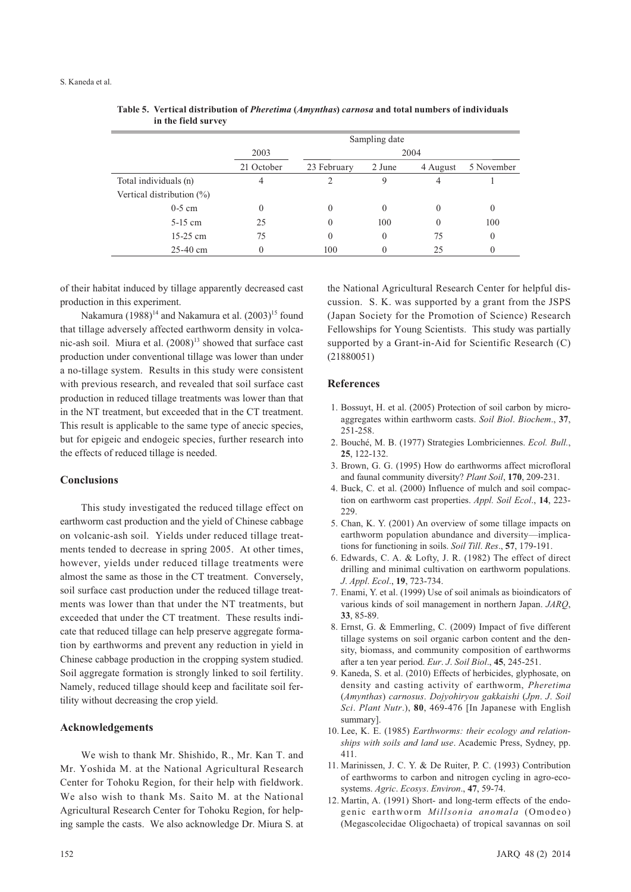| III the field survey         |               |             |          |          |            |
|------------------------------|---------------|-------------|----------|----------|------------|
|                              | Sampling date |             |          |          |            |
|                              | 2004<br>2003  |             |          |          |            |
|                              | 21 October    | 23 February | 2 June   | 4 August | 5 November |
| Total individuals (n)        | 4             |             | 9        | 4        |            |
| Vertical distribution $(\%)$ |               |             |          |          |            |
| $0-5$ cm                     | 0             | $\Omega$    | $\theta$ | $\theta$ | 0          |
| $5-15$ cm                    | 25            | $\Omega$    | 100      | $\theta$ | 100        |
| $15-25$ cm                   | 75            | $\theta$    | $\theta$ | 75       | $\theta$   |
| $25-40$ cm                   | 0             | 100         | 0        | 25       | $\theta$   |

**Table 5. Vertical distribution of** *Pheretima* **(***Amynthas***)** *carnosa* **and total numbers of individuals in the field survey**

of their habitat induced by tillage apparently decreased cast production in this experiment.

Nakamura (1988)<sup>14</sup> and Nakamura et al.  $(2003)^{15}$  found that tillage adversely affected earthworm density in volcanic-ash soil. Miura et al.  $(2008)^{13}$  showed that surface cast production under conventional tillage was lower than under a no-tillage system. Results in this study were consistent with previous research, and revealed that soil surface cast production in reduced tillage treatments was lower than that in the NT treatment, but exceeded that in the CT treatment. This result is applicable to the same type of anecic species, but for epigeic and endogeic species, further research into the effects of reduced tillage is needed.

# **Conclusions**

This study investigated the reduced tillage effect on earthworm cast production and the yield of Chinese cabbage on volcanic-ash soil. Yields under reduced tillage treatments tended to decrease in spring 2005. At other times, however, yields under reduced tillage treatments were almost the same as those in the CT treatment. Conversely, soil surface cast production under the reduced tillage treatments was lower than that under the NT treatments, but exceeded that under the CT treatment. These results indicate that reduced tillage can help preserve aggregate formation by earthworms and prevent any reduction in yield in Chinese cabbage production in the cropping system studied. Soil aggregate formation is strongly linked to soil fertility. Namely, reduced tillage should keep and facilitate soil fertility without decreasing the crop yield.

### **Acknowledgements**

We wish to thank Mr. Shishido, R., Mr. Kan T. and Mr. Yoshida M. at the National Agricultural Research Center for Tohoku Region, for their help with fieldwork. We also wish to thank Ms. Saito M. at the National Agricultural Research Center for Tohoku Region, for helping sample the casts. We also acknowledge Dr. Miura S. at

the National Agricultural Research Center for helpful discussion. S. K. was supported by a grant from the JSPS (Japan Society for the Promotion of Science) Research Fellowships for Young Scientists. This study was partially supported by a Grant-in-Aid for Scientific Research (C) (21880051)

#### **References**

- 1. Bossuyt, H. et al. (2005) Protection of soil carbon by microaggregates within earthworm casts. *Soil Biol*. *Biochem*., **37**, 251-258.
- 2. Bouché, M. B. (1977) Strategies Lombriciennes. *Ecol. Bull.*, **25**, 122-132.
- 3. Brown, G. G. (1995) How do earthworms affect microfloral and faunal community diversity? *Plant Soil*, **170**, 209-231.
- 4. Buck, C. et al. (2000) Influence of mulch and soil compaction on earthworm cast properties. *Appl. Soil Ecol*., **14**, 223- 229.
- 5. Chan, K. Y. (2001) An overview of some tillage impacts on earthworm population abundance and diversity—implications for functioning in soils. *Soil Till*. *Res*., **57**, 179-191.
- 6. Edwards, C. A. & Lofty, J. R. (1982) The effect of direct drilling and minimal cultivation on earthworm populations. *J*. *Appl*. *Ecol*., **19**, 723-734.
- 7. Enami, Y. et al. (1999) Use of soil animals as bioindicators of various kinds of soil management in northern Japan. *JARQ*, **33**, 85-89.
- 8. Ernst, G. & Emmerling, C. (2009) Impact of five different tillage systems on soil organic carbon content and the density, biomass, and community composition of earthworms after a ten year period. *Eur*. *J*. *Soil Biol*., **45**, 245-251.
- 9. Kaneda, S. et al. (2010) Effects of herbicides, glyphosate, on density and casting activity of earthworm, *Pheretima* (*Amynthas*) *carnosus*. *Dojyohiryou gakkaishi* (*Jpn*. *J*. *Soil Sci*. *Plant Nutr*.), **80**, 469-476 [In Japanese with English summary].
- 10. Lee, K. E. (1985) *Earthworms: their ecology and relationships with soils and land use*. Academic Press, Sydney, pp. 411.
- 11. Marinissen, J. C. Y. & De Ruiter, P. C. (1993) Contribution of earthworms to carbon and nitrogen cycling in agro-ecosystems. *Agric*. *Ecosys*. *Environ*., **47**, 59-74.
- 12. Martin, A. (1991) Short- and long-term effects of the endogenic earthworm *Millsonia anomala* (Omodeo) (Megascolecidae Oligochaeta) of tropical savannas on soil